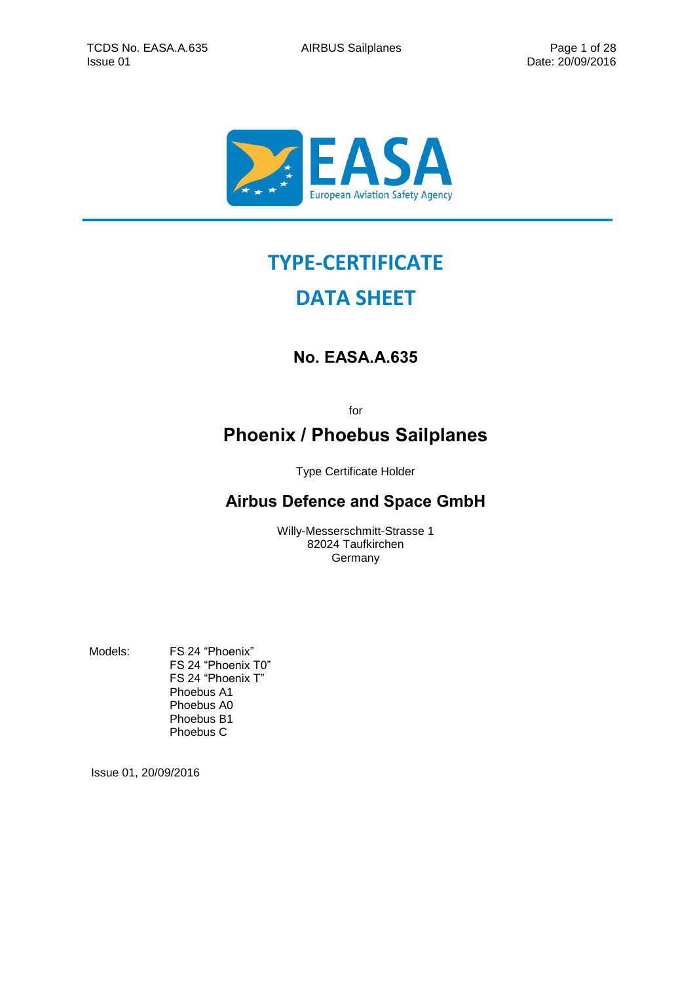

# **TYPE-CERTIFICATE**

# **DATA SHEET**

# **No. EASA.A.635**

for

# **Phoenix / Phoebus Sailplanes**

Type Certificate Holder

## **Airbus Defence and Space GmbH**

Willy-Messerschmitt-Strasse 1 82024 Taufkirchen Germany

Models: FS 24 "Phoenix" FS 24 "Phoenix T0" FS 24 "Phoenix T" Phoebus A1 Phoebus A0 Phoebus B1 Phoebus C

Issue 01, 20/09/2016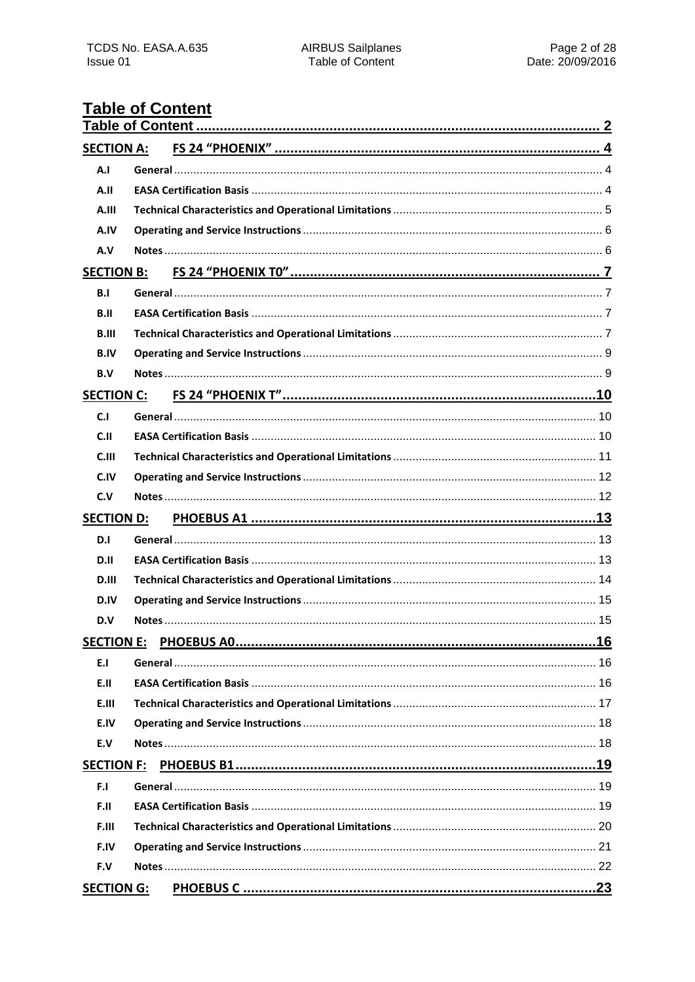## <span id="page-1-0"></span>**Table of Content**

| <b>SECTION A:</b> |  |  |  |  |
|-------------------|--|--|--|--|
| A.I               |  |  |  |  |
| A.II              |  |  |  |  |
| A.III             |  |  |  |  |
| A.IV              |  |  |  |  |
| A.V               |  |  |  |  |
| <b>SECTION B:</b> |  |  |  |  |
| B.I               |  |  |  |  |
| B.II              |  |  |  |  |
| B.III             |  |  |  |  |
| <b>B.IV</b>       |  |  |  |  |
| B.V               |  |  |  |  |
| <b>SECTION C:</b> |  |  |  |  |
| C.1               |  |  |  |  |
| C.II              |  |  |  |  |
| C.III             |  |  |  |  |
| C.IV              |  |  |  |  |
| C.V               |  |  |  |  |
|                   |  |  |  |  |
| <b>SECTION D:</b> |  |  |  |  |
| D.I               |  |  |  |  |
| D.II              |  |  |  |  |
| D.III             |  |  |  |  |
| D.IV              |  |  |  |  |
| D.V               |  |  |  |  |
|                   |  |  |  |  |
| E.I               |  |  |  |  |
| E.II              |  |  |  |  |
| E.III             |  |  |  |  |
| E.IV              |  |  |  |  |
| E.V               |  |  |  |  |
| <b>SECTION F:</b> |  |  |  |  |
| F.I               |  |  |  |  |
| F.II              |  |  |  |  |
| F.III             |  |  |  |  |
| F.IV              |  |  |  |  |
| F.V               |  |  |  |  |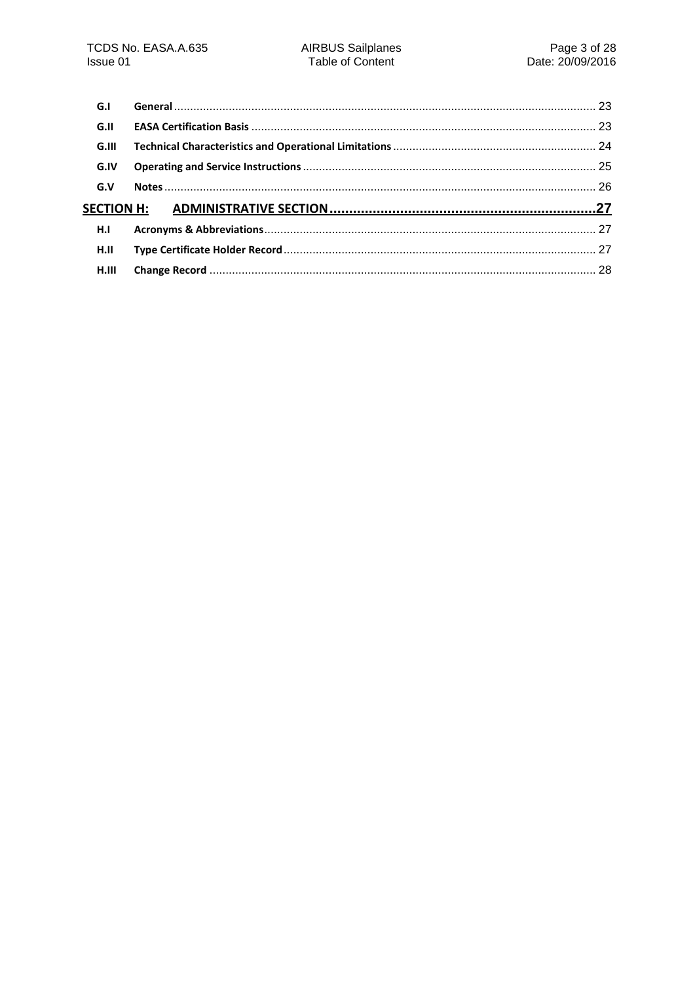| G.I   |  |
|-------|--|
| G.II  |  |
| G.III |  |
| G.IV  |  |
| G.V   |  |
|       |  |
| H.I   |  |
| H.II  |  |
| H.III |  |
|       |  |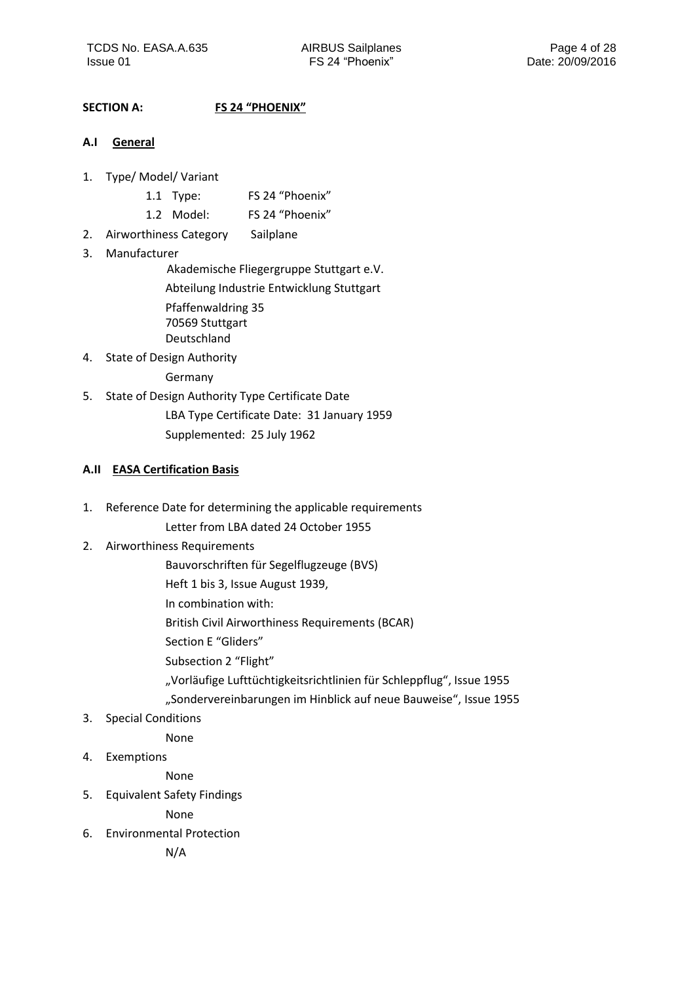## <span id="page-3-0"></span>**SECTION A: FS 24 "PHOENIX"**

## <span id="page-3-1"></span>**A.I General**

- 1. Type/ Model/ Variant
	- 1.1 Type: FS 24 "Phoenix"
	- 1.2 Model: FS 24 "Phoenix"
- 2. Airworthiness Category Sailplane
- 3. Manufacturer

Akademische Fliegergruppe Stuttgart e.V.

Abteilung Industrie Entwicklung Stuttgart Pfaffenwaldring 35 70569 Stuttgart

- Deutschland
- 4. State of Design Authority

Germany

5. State of Design Authority Type Certificate Date LBA Type Certificate Date: 31 January 1959 Supplemented: 25 July 1962

## <span id="page-3-2"></span>**A.II EASA Certification Basis**

1. Reference Date for determining the applicable requirements

Letter from LBA dated 24 October 1955

- 2. Airworthiness Requirements
	- Bauvorschriften für Segelflugzeuge (BVS)
	- Heft 1 bis 3, Issue August 1939,
	- In combination with:
	- British Civil Airworthiness Requirements (BCAR)
	- Section E "Gliders"
	- Subsection 2 "Flight"
	- "Vorläufige Lufttüchtigkeitsrichtlinien für Schleppflug", Issue 1955
	- "Sondervereinbarungen im Hinblick auf neue Bauweise", Issue 1955
- 3. Special Conditions

None

4. Exemptions

None

5. Equivalent Safety Findings

None

6. Environmental Protection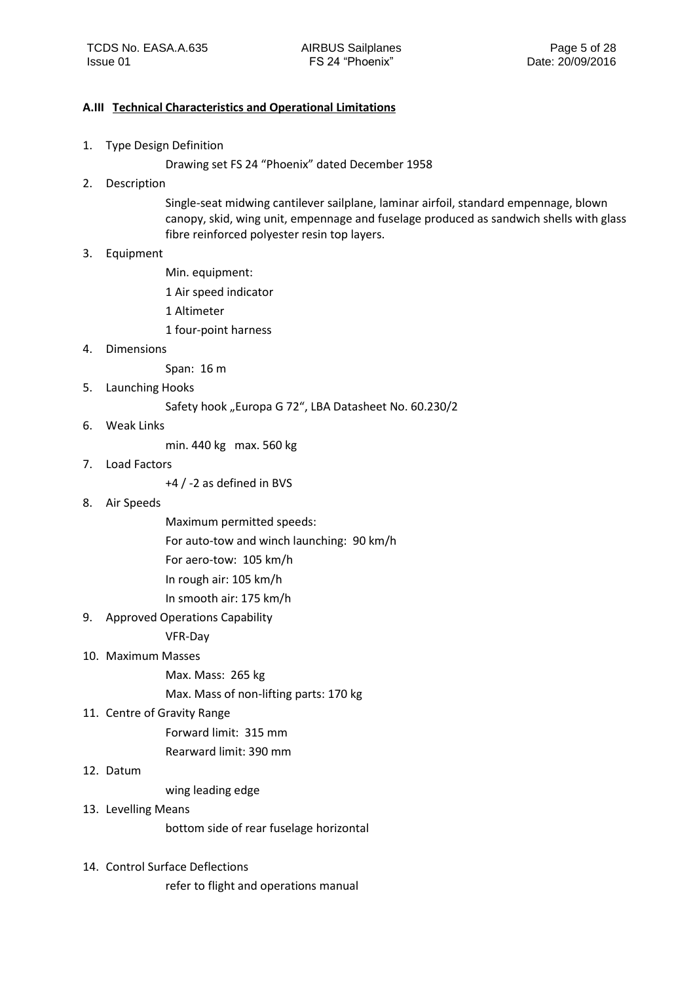#### <span id="page-4-0"></span>**A.III Technical Characteristics and Operational Limitations**

1. Type Design Definition

Drawing set FS 24 "Phoenix" dated December 1958

2. Description

Single-seat midwing cantilever sailplane, laminar airfoil, standard empennage, blown canopy, skid, wing unit, empennage and fuselage produced as sandwich shells with glass fibre reinforced polyester resin top layers.

#### 3. Equipment

Min. equipment:

- 1 Air speed indicator
- 1 Altimeter
- 1 four-point harness
- 4. Dimensions

Span: 16 m

5. Launching Hooks

Safety hook "Europa G 72", LBA Datasheet No. 60.230/2

6. Weak Links

min. 440 kg max. 560 kg

7. Load Factors

+4 / -2 as defined in BVS

- 8. Air Speeds
	- Maximum permitted speeds:

For auto-tow and winch launching: 90 km/h

For aero-tow: 105 km/h

In rough air: 105 km/h

In smooth air: 175 km/h

9. Approved Operations Capability

VFR-Day

## 10. Maximum Masses

Max. Mass: 265 kg

Max. Mass of non-lifting parts: 170 kg

#### 11. Centre of Gravity Range

Forward limit: 315 mm Rearward limit: 390 mm

#### 12. Datum

wing leading edge

#### 13. Levelling Means

bottom side of rear fuselage horizontal

14. Control Surface Deflections

refer to flight and operations manual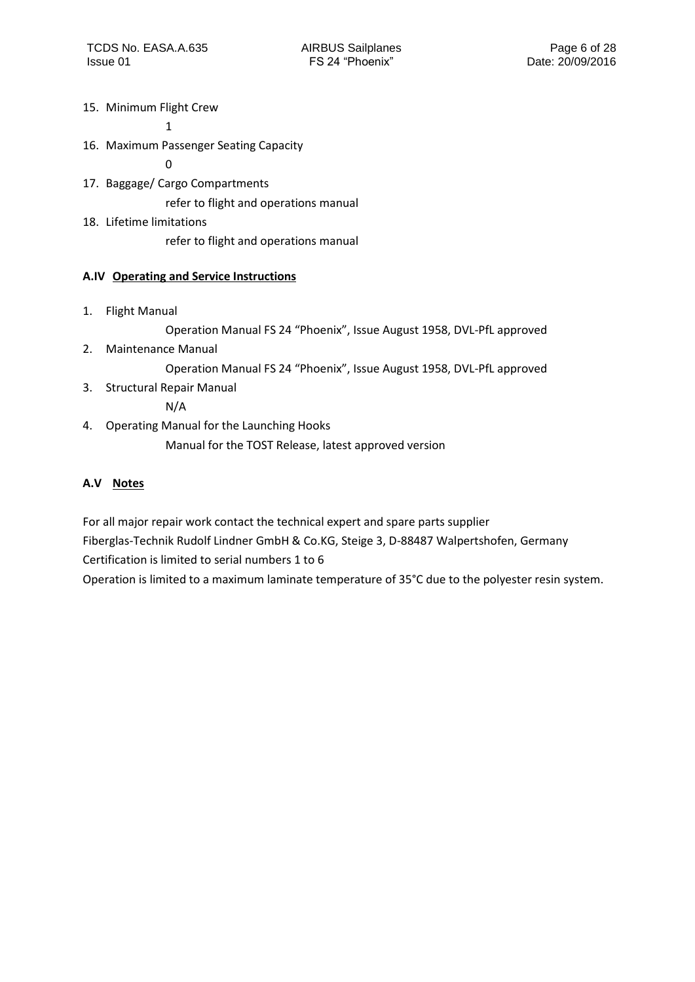15. Minimum Flight Crew

1

16. Maximum Passenger Seating Capacity

0

17. Baggage/ Cargo Compartments

refer to flight and operations manual

18. Lifetime limitations

refer to flight and operations manual

## <span id="page-5-0"></span>**A.IV Operating and Service Instructions**

1. Flight Manual

Operation Manual FS 24 "Phoenix", Issue August 1958, DVL-PfL approved

2. Maintenance Manual

Operation Manual FS 24 "Phoenix", Issue August 1958, DVL-PfL approved

3. Structural Repair Manual

N/A

4. Operating Manual for the Launching Hooks Manual for the TOST Release, latest approved version

## <span id="page-5-1"></span>**A.V Notes**

For all major repair work contact the technical expert and spare parts supplier Fiberglas-Technik Rudolf Lindner GmbH & Co.KG, Steige 3, D-88487 Walpertshofen, Germany Certification is limited to serial numbers 1 to 6

Operation is limited to a maximum laminate temperature of 35°C due to the polyester resin system.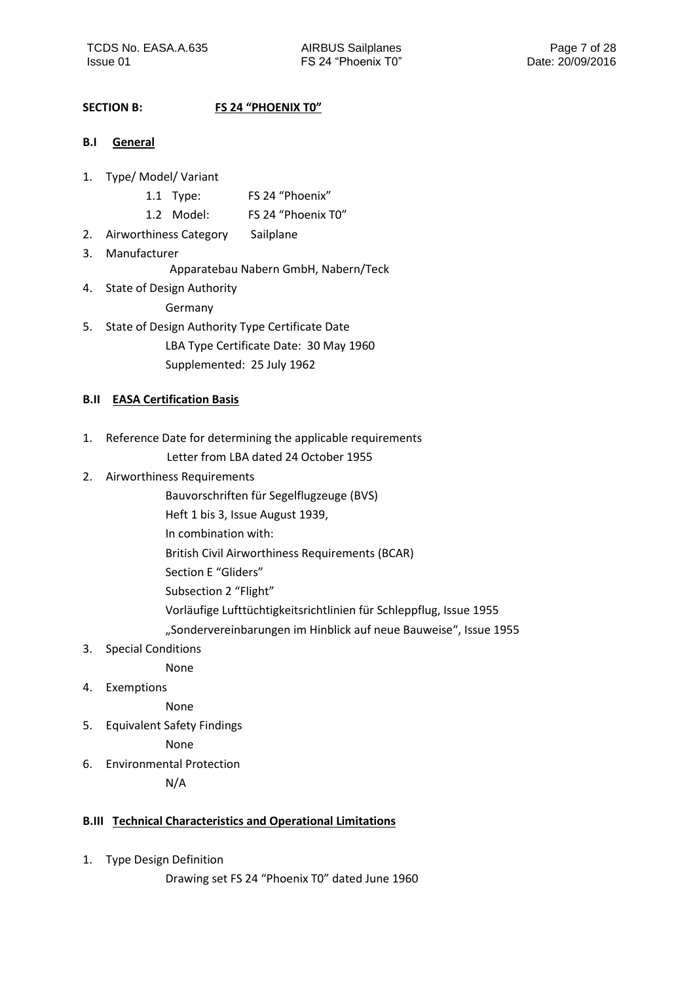## <span id="page-6-0"></span>**SECTION B: FS 24 "PHOENIX T0"**

- <span id="page-6-1"></span>**B.I General**
- 1. Type/ Model/ Variant
	- 1.1 Type: FS 24 "Phoenix"
	- 1.2 Model: FS 24 "Phoenix T0"
- 2. Airworthiness Category Sailplane
- 3. Manufacturer
	- Apparatebau Nabern GmbH, Nabern/Teck
- 4. State of Design Authority

Germany

5. State of Design Authority Type Certificate Date LBA Type Certificate Date: 30 May 1960 Supplemented: 25 July 1962

#### <span id="page-6-2"></span>**B.II EASA Certification Basis**

- 1. Reference Date for determining the applicable requirements Letter from LBA dated 24 October 1955
- 2. Airworthiness Requirements
	- Bauvorschriften für Segelflugzeuge (BVS)
	- Heft 1 bis 3, Issue August 1939,
	- In combination with:
	- British Civil Airworthiness Requirements (BCAR)
	- Section E "Gliders"
	- Subsection 2 "Flight"
	- Vorläufige Lufttüchtigkeitsrichtlinien für Schleppflug, Issue 1955
	- "Sondervereinbarungen im Hinblick auf neue Bauweise", Issue 1955
- 3. Special Conditions

None

4. Exemptions

None

5. Equivalent Safety Findings

None

6. Environmental Protection

N/A

#### <span id="page-6-3"></span>**B.III Technical Characteristics and Operational Limitations**

- 1. Type Design Definition
	- Drawing set FS 24 "Phoenix T0" dated June 1960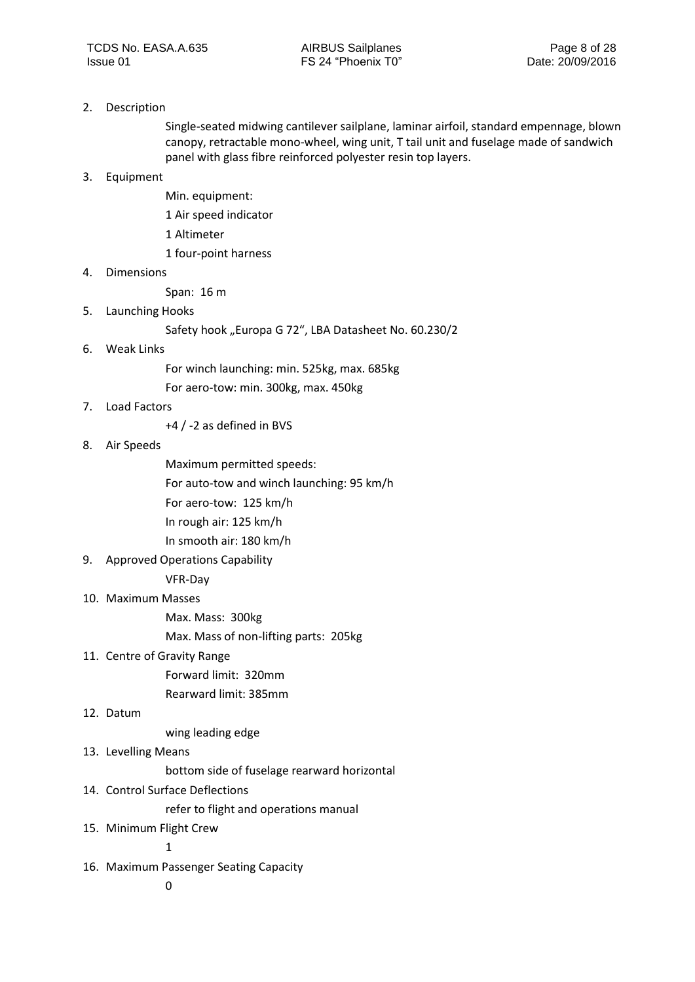#### 2. Description

Single-seated midwing cantilever sailplane, laminar airfoil, standard empennage, blown canopy, retractable mono-wheel, wing unit, T tail unit and fuselage made of sandwich panel with glass fibre reinforced polyester resin top layers.

#### 3. Equipment

- Min. equipment:
- 1 Air speed indicator
- 1 Altimeter
- 1 four-point harness

#### 4. Dimensions

Span: 16 m

#### 5. Launching Hooks

Safety hook "Europa G 72", LBA Datasheet No. 60.230/2

#### 6. Weak Links

- For winch launching: min. 525kg, max. 685kg
- For aero-tow: min. 300kg, max. 450kg

#### 7. Load Factors

+4 / -2 as defined in BVS

#### 8. Air Speeds

- Maximum permitted speeds:
- For auto-tow and winch launching: 95 km/h
- For aero-tow: 125 km/h
- In rough air: 125 km/h
- In smooth air: 180 km/h
- 9. Approved Operations Capability VFR-Day

## 10. Maximum Masses

Max. Mass: 300kg

Max. Mass of non-lifting parts: 205kg

#### 11. Centre of Gravity Range

- Forward limit: 320mm
- Rearward limit: 385mm

#### 12. Datum

wing leading edge

#### 13. Levelling Means

bottom side of fuselage rearward horizontal

14. Control Surface Deflections

refer to flight and operations manual

15. Minimum Flight Crew

1

16. Maximum Passenger Seating Capacity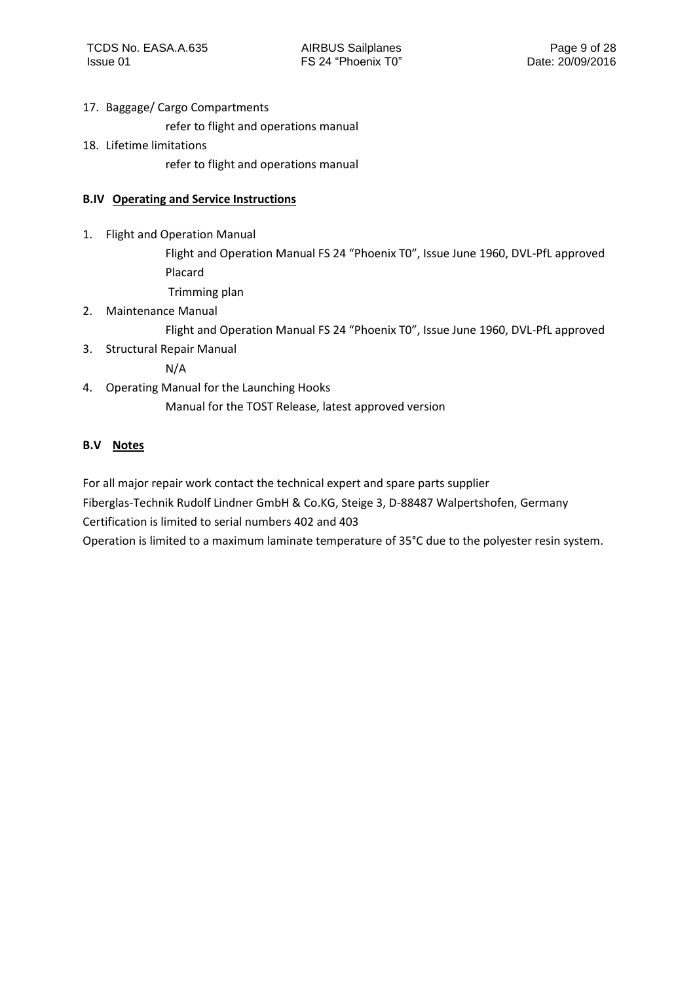## 17. Baggage/ Cargo Compartments

refer to flight and operations manual

18. Lifetime limitations

refer to flight and operations manual

## <span id="page-8-0"></span>**B.IV Operating and Service Instructions**

1. Flight and Operation Manual

Flight and Operation Manual FS 24 "Phoenix T0", Issue June 1960, DVL-PfL approved Placard

- Trimming plan
- 2. Maintenance Manual

Flight and Operation Manual FS 24 "Phoenix T0", Issue June 1960, DVL-PfL approved

3. Structural Repair Manual

N/A

4. Operating Manual for the Launching Hooks

Manual for the TOST Release, latest approved version

## <span id="page-8-1"></span>**B.V Notes**

For all major repair work contact the technical expert and spare parts supplier

Fiberglas-Technik Rudolf Lindner GmbH & Co.KG, Steige 3, D-88487 Walpertshofen, Germany Certification is limited to serial numbers 402 and 403

Operation is limited to a maximum laminate temperature of 35°C due to the polyester resin system.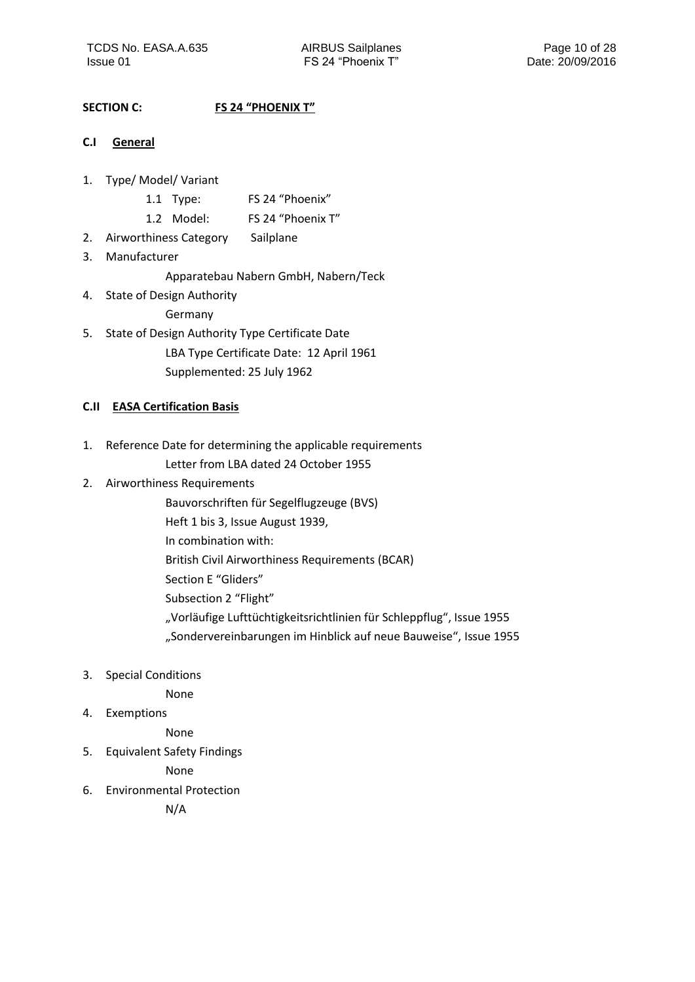## <span id="page-9-0"></span>**SECTION C: FS 24 "PHOENIX T"**

- <span id="page-9-1"></span>**C.I General**
- 1. Type/ Model/ Variant
	- 1.1 Type: FS 24 "Phoenix"
	- 1.2 Model: FS 24 "Phoenix T"
- 2. Airworthiness Category Sailplane
- 3. Manufacturer
	- Apparatebau Nabern GmbH, Nabern/Teck
- 4. State of Design Authority Germany
- 5. State of Design Authority Type Certificate Date LBA Type Certificate Date: 12 April 1961 Supplemented: 25 July 1962

## <span id="page-9-2"></span>**C.II EASA Certification Basis**

- 1. Reference Date for determining the applicable requirements Letter from LBA dated 24 October 1955
- 2. Airworthiness Requirements
	- Bauvorschriften für Segelflugzeuge (BVS)
	- Heft 1 bis 3, Issue August 1939,
	- In combination with:
	- British Civil Airworthiness Requirements (BCAR)
	- Section E "Gliders"
	- Subsection 2 "Flight"
	- "Vorläufige Lufttüchtigkeitsrichtlinien für Schleppflug", Issue 1955
	- "Sondervereinbarungen im Hinblick auf neue Bauweise", Issue 1955
- 3. Special Conditions

None

4. Exemptions

None

5. Equivalent Safety Findings

None

6. Environmental Protection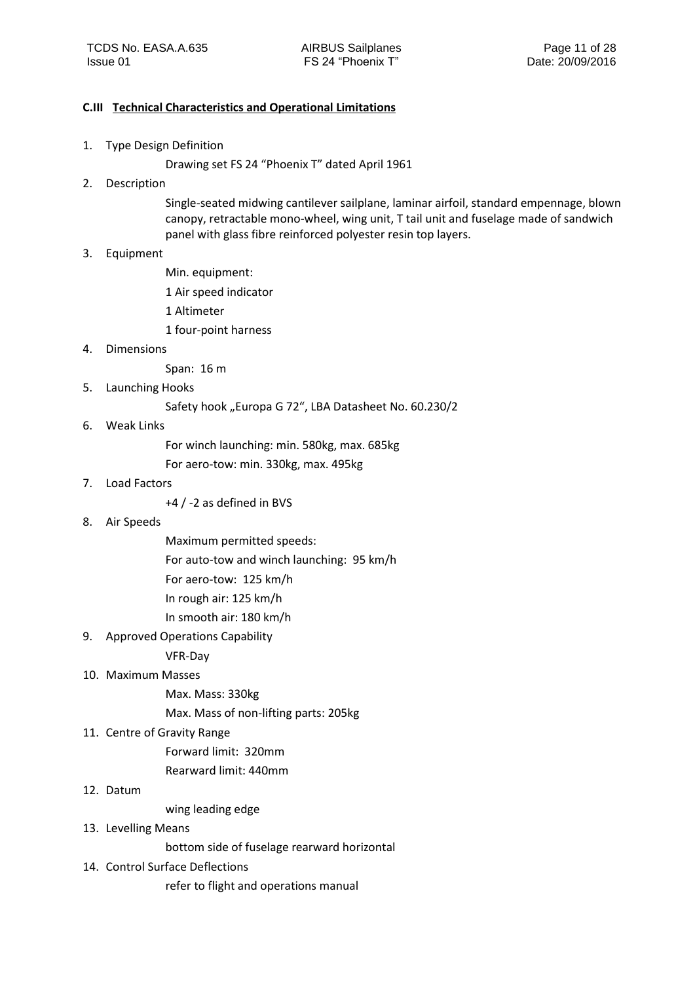#### <span id="page-10-0"></span>**C.III Technical Characteristics and Operational Limitations**

1. Type Design Definition

Drawing set FS 24 "Phoenix T" dated April 1961

2. Description

Single-seated midwing cantilever sailplane, laminar airfoil, standard empennage, blown canopy, retractable mono-wheel, wing unit, T tail unit and fuselage made of sandwich panel with glass fibre reinforced polyester resin top layers.

#### 3. Equipment

Min. equipment:

- 1 Air speed indicator
- 1 Altimeter
- 1 four-point harness

#### 4. Dimensions

Span: 16 m

5. Launching Hooks

Safety hook "Europa G 72", LBA Datasheet No. 60.230/2

6. Weak Links

For winch launching: min. 580kg, max. 685kg For aero-tow: min. 330kg, max. 495kg

7. Load Factors

+4 / -2 as defined in BVS

- 8. Air Speeds
- Maximum permitted speeds:
- For auto-tow and winch launching: 95 km/h

For aero-tow: 125 km/h

- In rough air: 125 km/h
- In smooth air: 180 km/h
- 9. Approved Operations Capability

VFR-Day

- 10. Maximum Masses
	- Max. Mass: 330kg

Max. Mass of non-lifting parts: 205kg

11. Centre of Gravity Range

Forward limit: 320mm

- Rearward limit: 440mm
- 12. Datum

wing leading edge

13. Levelling Means

bottom side of fuselage rearward horizontal

14. Control Surface Deflections

refer to flight and operations manual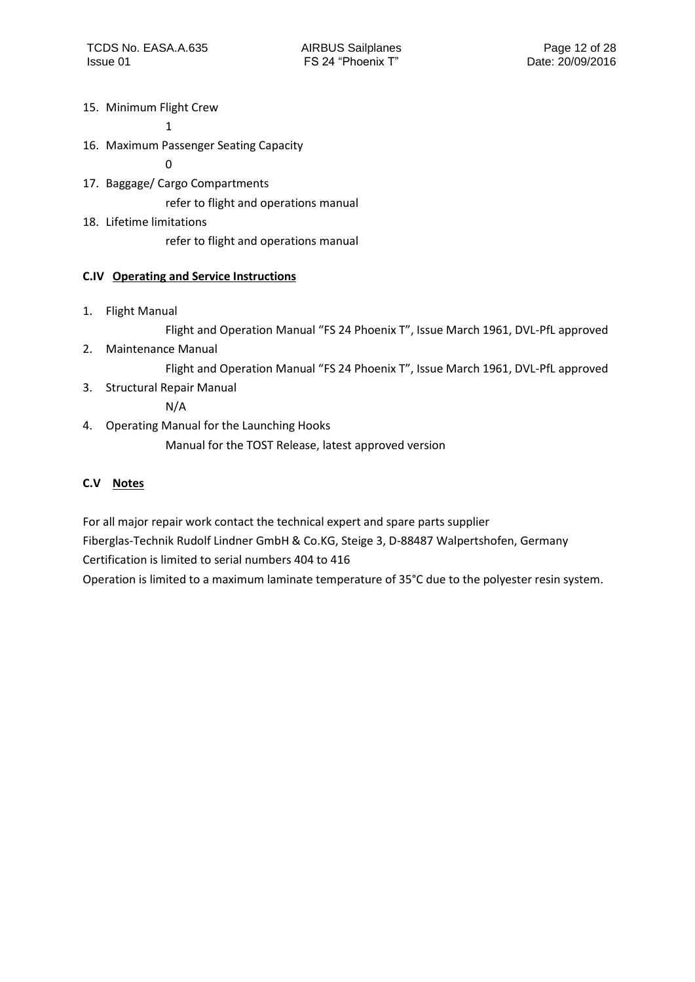15. Minimum Flight Crew

1

16. Maximum Passenger Seating Capacity

0

17. Baggage/ Cargo Compartments

refer to flight and operations manual

18. Lifetime limitations

refer to flight and operations manual

## <span id="page-11-0"></span>**C.IV Operating and Service Instructions**

1. Flight Manual

Flight and Operation Manual "FS 24 Phoenix T", Issue March 1961, DVL-PfL approved

2. Maintenance Manual

Flight and Operation Manual "FS 24 Phoenix T", Issue March 1961, DVL-PfL approved

3. Structural Repair Manual

N/A

4. Operating Manual for the Launching Hooks

Manual for the TOST Release, latest approved version

## <span id="page-11-1"></span>**C.V Notes**

For all major repair work contact the technical expert and spare parts supplier Fiberglas-Technik Rudolf Lindner GmbH & Co.KG, Steige 3, D-88487 Walpertshofen, Germany

Certification is limited to serial numbers 404 to 416

Operation is limited to a maximum laminate temperature of 35°C due to the polyester resin system.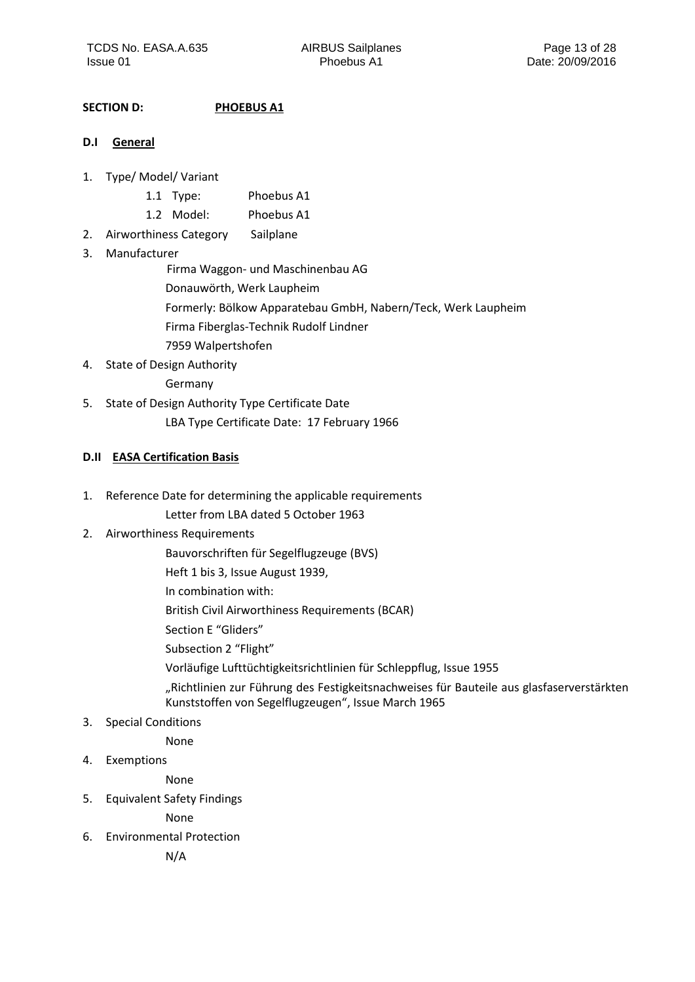## <span id="page-12-0"></span>**SECTION D: PHOEBUS A1**

#### <span id="page-12-1"></span>**D.I General**

- 1. Type/ Model/ Variant
	- 1.1 Type: Phoebus A1
	- 1.2 Model: Phoebus A1
- 2. Airworthiness Category Sailplane

## 3. Manufacturer

Firma Waggon- und Maschinenbau AG

- Donauwörth, Werk Laupheim
- Formerly: Bölkow Apparatebau GmbH, Nabern/Teck, Werk Laupheim
- Firma Fiberglas-Technik Rudolf Lindner
- 7959 Walpertshofen
- 4. State of Design Authority

Germany

5. State of Design Authority Type Certificate Date LBA Type Certificate Date: 17 February 1966

## <span id="page-12-2"></span>**D.II EASA Certification Basis**

- 1. Reference Date for determining the applicable requirements
	- Letter from LBA dated 5 October 1963

## 2. Airworthiness Requirements

- Bauvorschriften für Segelflugzeuge (BVS)
- Heft 1 bis 3, Issue August 1939,
- In combination with:

British Civil Airworthiness Requirements (BCAR)

- Section E "Gliders"
- Subsection 2 "Flight"
- Vorläufige Lufttüchtigkeitsrichtlinien für Schleppflug, Issue 1955
- "Richtlinien zur Führung des Festigkeitsnachweises für Bauteile aus glasfaserverstärkten Kunststoffen von Segelflugzeugen", Issue March 1965
- 3. Special Conditions

None

4. Exemptions

None

5. Equivalent Safety Findings

None

6. Environmental Protection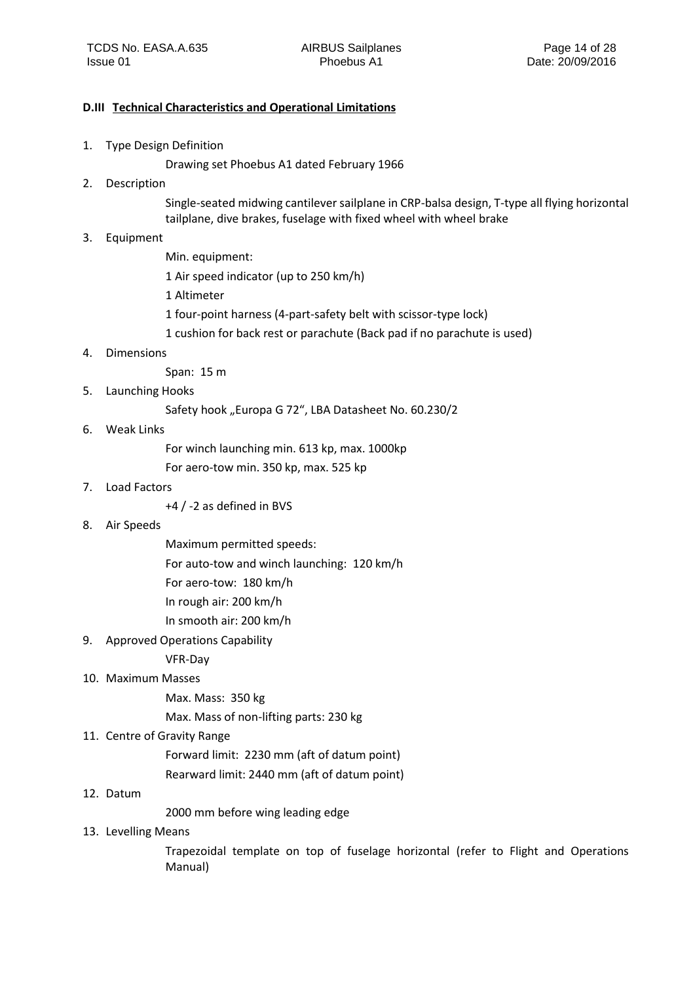#### <span id="page-13-0"></span>**D.III Technical Characteristics and Operational Limitations**

- 1. Type Design Definition
	- Drawing set Phoebus A1 dated February 1966
- 2. Description

Single-seated midwing cantilever sailplane in CRP-balsa design, T-type all flying horizontal tailplane, dive brakes, fuselage with fixed wheel with wheel brake

3. Equipment

Min. equipment: 1 Air speed indicator (up to 250 km/h) 1 Altimeter 1 four-point harness (4-part-safety belt with scissor-type lock) 1 cushion for back rest or parachute (Back pad if no parachute is used)

4. Dimensions

Span: 15 m

5. Launching Hooks

Safety hook "Europa G 72", LBA Datasheet No. 60.230/2

6. Weak Links

For winch launching min. 613 kp, max. 1000kp

For aero-tow min. 350 kp, max. 525 kp

7. Load Factors

+4 / -2 as defined in BVS

8. Air Speeds

Maximum permitted speeds:

For auto-tow and winch launching: 120 km/h

For aero-tow: 180 km/h

In rough air: 200 km/h

In smooth air: 200 km/h

9. Approved Operations Capability

VFR-Day

10. Maximum Masses

Max. Mass: 350 kg

Max. Mass of non-lifting parts: 230 kg

#### 11. Centre of Gravity Range

Forward limit: 2230 mm (aft of datum point)

Rearward limit: 2440 mm (aft of datum point)

#### 12. Datum

2000 mm before wing leading edge

#### 13. Levelling Means

Trapezoidal template on top of fuselage horizontal (refer to Flight and Operations Manual)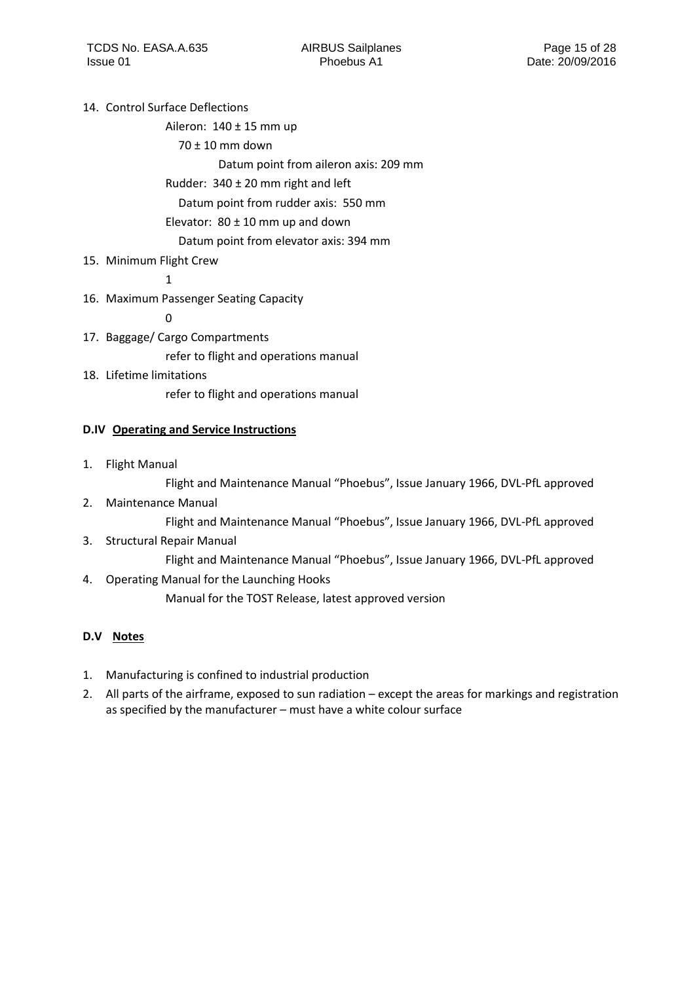## 14. Control Surface Deflections

Aileron:  $140 \pm 15$  mm up

70 ± 10 mm down

Datum point from aileron axis: 209 mm

## Rudder: 340 ± 20 mm right and left

Datum point from rudder axis: 550 mm

Elevator:  $80 \pm 10$  mm up and down

Datum point from elevator axis: 394 mm

## 15. Minimum Flight Crew

1

16. Maximum Passenger Seating Capacity

 $\Omega$ 

- 17. Baggage/ Cargo Compartments refer to flight and operations manual
- 18. Lifetime limitations refer to flight and operations manual

## <span id="page-14-0"></span>**D.IV Operating and Service Instructions**

1. Flight Manual

Flight and Maintenance Manual "Phoebus", Issue January 1966, DVL-PfL approved

2. Maintenance Manual

Flight and Maintenance Manual "Phoebus", Issue January 1966, DVL-PfL approved

3. Structural Repair Manual

Flight and Maintenance Manual "Phoebus", Issue January 1966, DVL-PfL approved

4. Operating Manual for the Launching Hooks

Manual for the TOST Release, latest approved version

## <span id="page-14-1"></span>**D.V Notes**

- 1. Manufacturing is confined to industrial production
- 2. All parts of the airframe, exposed to sun radiation except the areas for markings and registration as specified by the manufacturer – must have a white colour surface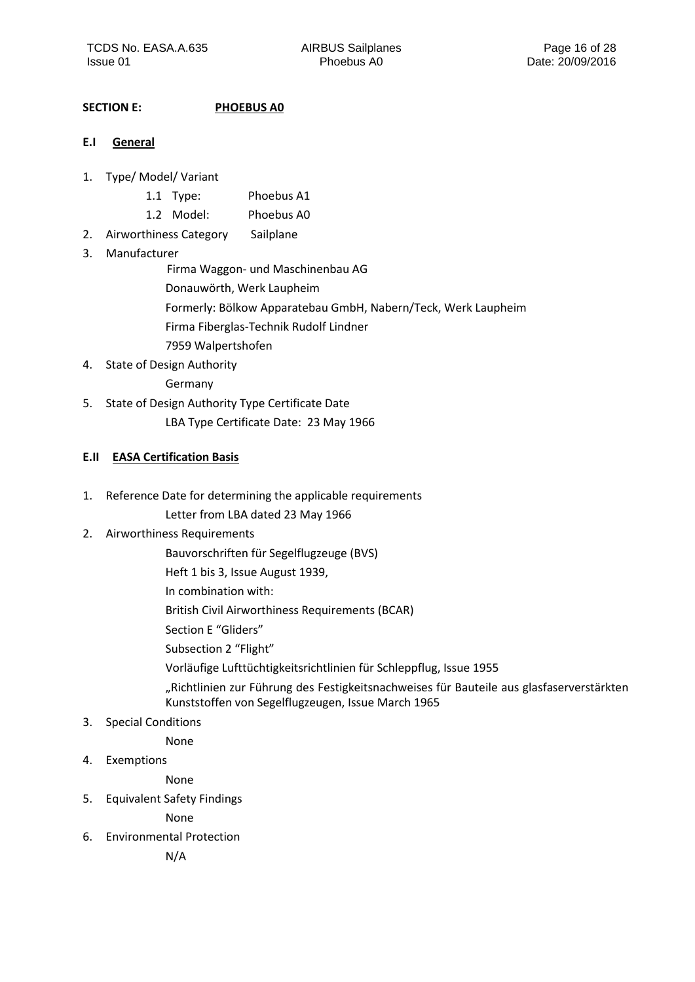## <span id="page-15-0"></span>**SECTION E: PHOEBUS A0**

- <span id="page-15-1"></span>**E.I General**
- 1. Type/ Model/ Variant
	- 1.1 Type: Phoebus A1
	- 1.2 Model: Phoebus A0
- 2. Airworthiness Category Sailplane

## 3. Manufacturer

Firma Waggon- und Maschinenbau AG

- Donauwörth, Werk Laupheim
- Formerly: Bölkow Apparatebau GmbH, Nabern/Teck, Werk Laupheim
- Firma Fiberglas-Technik Rudolf Lindner
- 7959 Walpertshofen
- 4. State of Design Authority

Germany

5. State of Design Authority Type Certificate Date LBA Type Certificate Date: 23 May 1966

## <span id="page-15-2"></span>**E.II EASA Certification Basis**

- 1. Reference Date for determining the applicable requirements
	- Letter from LBA dated 23 May 1966

## 2. Airworthiness Requirements

- Bauvorschriften für Segelflugzeuge (BVS)
- Heft 1 bis 3, Issue August 1939,
- In combination with:

British Civil Airworthiness Requirements (BCAR)

- Section E "Gliders"
- Subsection 2 "Flight"
- Vorläufige Lufttüchtigkeitsrichtlinien für Schleppflug, Issue 1955
- "Richtlinien zur Führung des Festigkeitsnachweises für Bauteile aus glasfaserverstärkten Kunststoffen von Segelflugzeugen, Issue March 1965
- 3. Special Conditions

None

4. Exemptions

None

5. Equivalent Safety Findings

None

6. Environmental Protection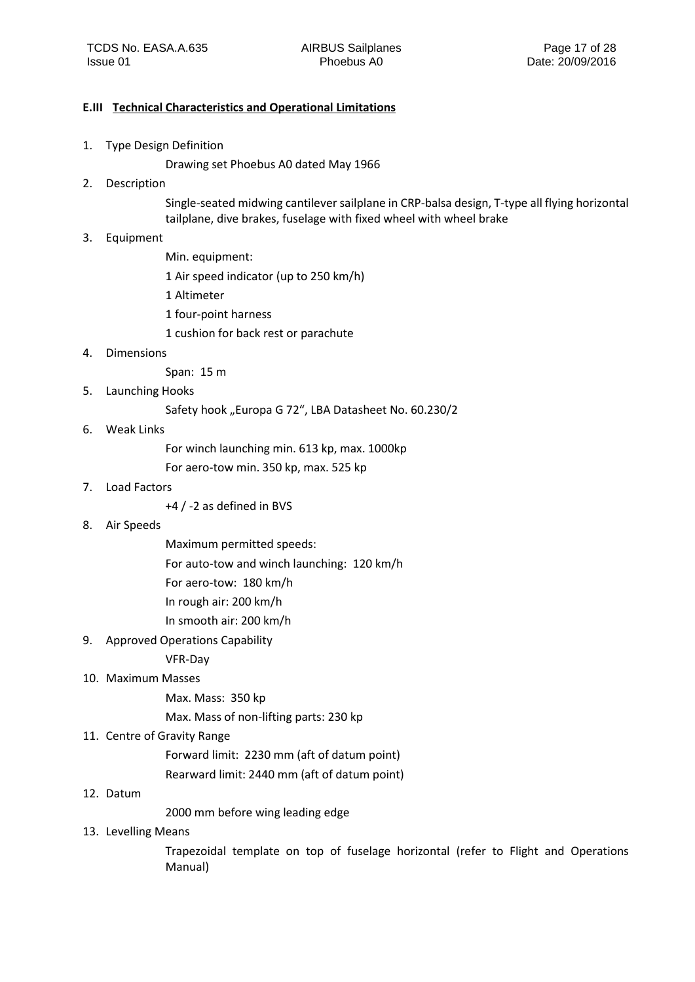#### <span id="page-16-0"></span>**E.III Technical Characteristics and Operational Limitations**

- 1. Type Design Definition
	- Drawing set Phoebus A0 dated May 1966
- 2. Description

Single-seated midwing cantilever sailplane in CRP-balsa design, T-type all flying horizontal tailplane, dive brakes, fuselage with fixed wheel with wheel brake

- 3. Equipment
	- Min. equipment: 1 Air speed indicator (up to 250 km/h) 1 Altimeter 1 four-point harness 1 cushion for back rest or parachute
- 4. Dimensions

Span: 15 m

5. Launching Hooks

Safety hook "Europa G 72", LBA Datasheet No. 60.230/2

6. Weak Links

For winch launching min. 613 kp, max. 1000kp

For aero-tow min. 350 kp, max. 525 kp

7. Load Factors

+4 / -2 as defined in BVS

8. Air Speeds

Maximum permitted speeds:

For auto-tow and winch launching: 120 km/h

For aero-tow: 180 km/h

In rough air: 200 km/h

In smooth air: 200 km/h

9. Approved Operations Capability

VFR-Day

10. Maximum Masses

Max. Mass: 350 kp

Max. Mass of non-lifting parts: 230 kp

11. Centre of Gravity Range

Forward limit: 2230 mm (aft of datum point)

Rearward limit: 2440 mm (aft of datum point)

#### 12. Datum

2000 mm before wing leading edge

13. Levelling Means

Trapezoidal template on top of fuselage horizontal (refer to Flight and Operations Manual)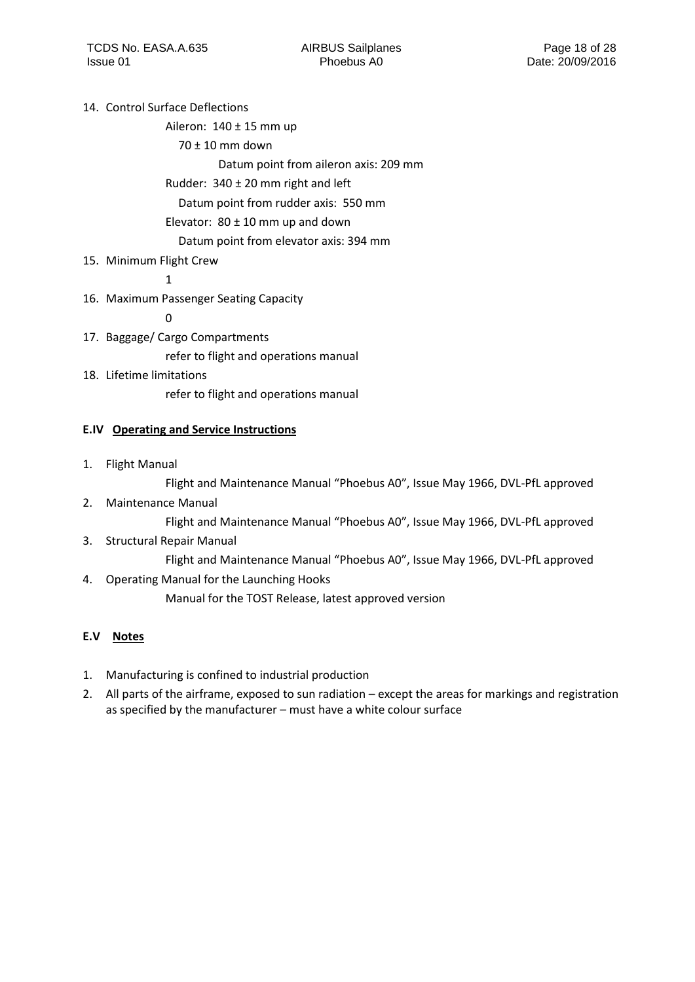## 14. Control Surface Deflections

Aileron: 140 ± 15 mm up

70 ± 10 mm down

Datum point from aileron axis: 209 mm

## Rudder: 340 ± 20 mm right and left

Datum point from rudder axis: 550 mm

Elevator:  $80 \pm 10$  mm up and down

Datum point from elevator axis: 394 mm

## 15. Minimum Flight Crew

1

16. Maximum Passenger Seating Capacity

 $\Omega$ 

- 17. Baggage/ Cargo Compartments refer to flight and operations manual
- 18. Lifetime limitations refer to flight and operations manual

## <span id="page-17-0"></span>**E.IV Operating and Service Instructions**

1. Flight Manual

Flight and Maintenance Manual "Phoebus A0", Issue May 1966, DVL-PfL approved

2. Maintenance Manual

Flight and Maintenance Manual "Phoebus A0", Issue May 1966, DVL-PfL approved

3. Structural Repair Manual

Flight and Maintenance Manual "Phoebus A0", Issue May 1966, DVL-PfL approved

4. Operating Manual for the Launching Hooks

Manual for the TOST Release, latest approved version

## <span id="page-17-1"></span>**E.V Notes**

- 1. Manufacturing is confined to industrial production
- 2. All parts of the airframe, exposed to sun radiation except the areas for markings and registration as specified by the manufacturer – must have a white colour surface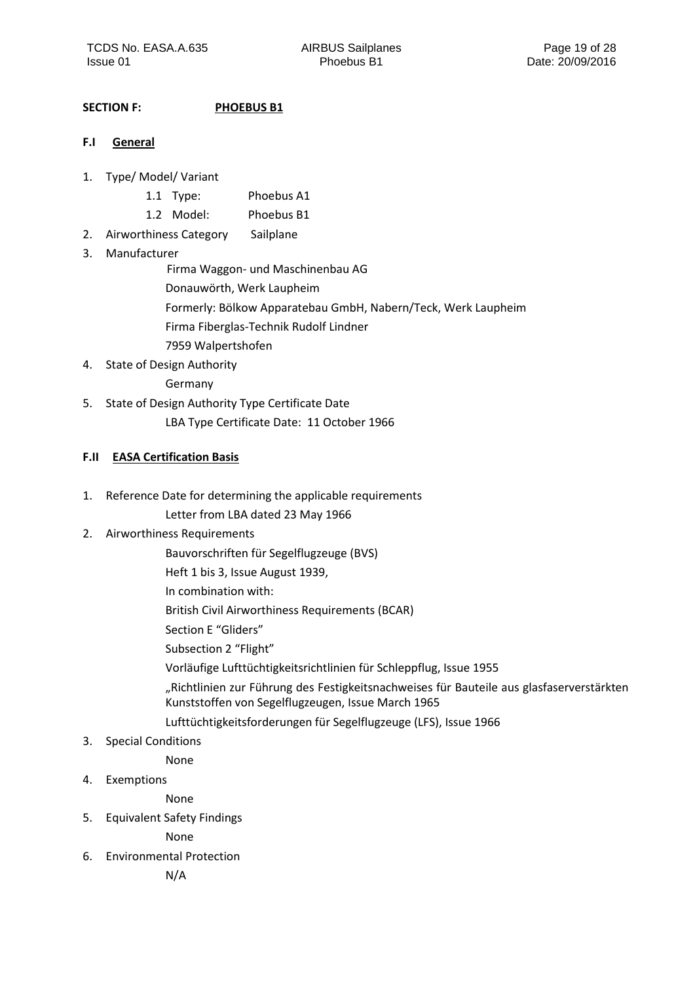## <span id="page-18-0"></span>**SECTION F: PHOEBUS B1**

#### <span id="page-18-1"></span>**F.I General**

- 1. Type/ Model/ Variant
	- 1.1 Type: Phoebus A1
	- 1.2 Model: Phoebus B1
- 2. Airworthiness Category Sailplane

## 3. Manufacturer

Firma Waggon- und Maschinenbau AG

- Donauwörth, Werk Laupheim
- Formerly: Bölkow Apparatebau GmbH, Nabern/Teck, Werk Laupheim
- Firma Fiberglas-Technik Rudolf Lindner
- 7959 Walpertshofen
- 4. State of Design Authority

Germany

5. State of Design Authority Type Certificate Date LBA Type Certificate Date: 11 October 1966

## <span id="page-18-2"></span>**F.II EASA Certification Basis**

- 1. Reference Date for determining the applicable requirements
	- Letter from LBA dated 23 May 1966

## 2. Airworthiness Requirements

- Bauvorschriften für Segelflugzeuge (BVS)
- Heft 1 bis 3, Issue August 1939,
- In combination with:
- British Civil Airworthiness Requirements (BCAR)
- Section E "Gliders"
- Subsection 2 "Flight"
- Vorläufige Lufttüchtigkeitsrichtlinien für Schleppflug, Issue 1955
- "Richtlinien zur Führung des Festigkeitsnachweises für Bauteile aus glasfaserverstärkten Kunststoffen von Segelflugzeugen, Issue March 1965
- Lufttüchtigkeitsforderungen für Segelflugzeuge (LFS), Issue 1966
- 3. Special Conditions

None

4. Exemptions

None

5. Equivalent Safety Findings

None

6. Environmental Protection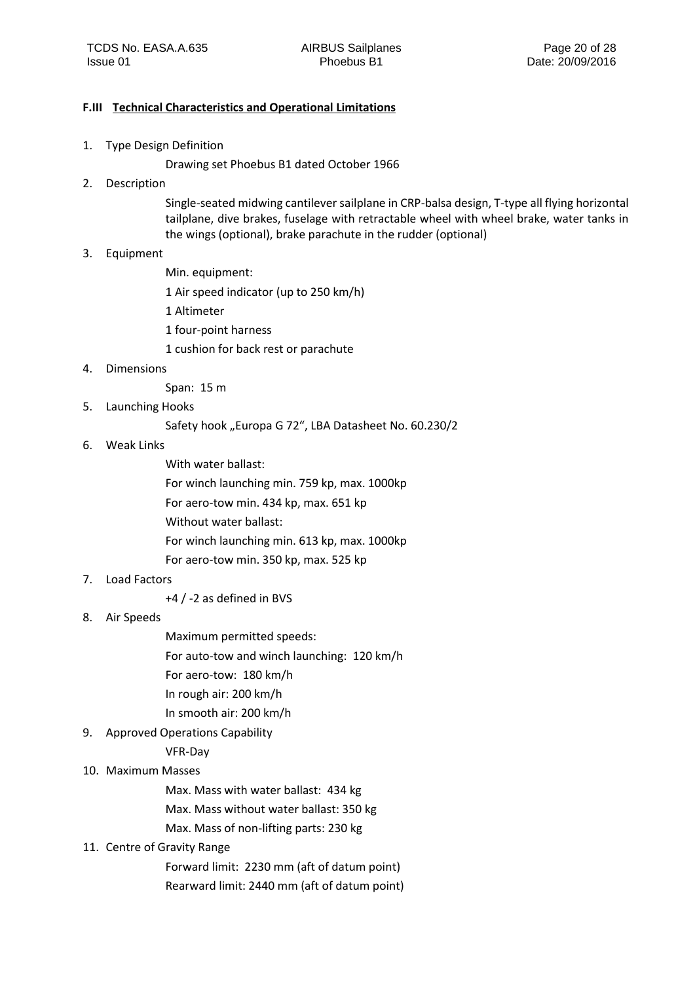#### <span id="page-19-0"></span>**F.III Technical Characteristics and Operational Limitations**

1. Type Design Definition

Drawing set Phoebus B1 dated October 1966

2. Description

Single-seated midwing cantilever sailplane in CRP-balsa design, T-type all flying horizontal tailplane, dive brakes, fuselage with retractable wheel with wheel brake, water tanks in the wings (optional), brake parachute in the rudder (optional)

- 3. Equipment
	- Min. equipment:

1 Air speed indicator (up to 250 km/h)

- 1 Altimeter
- 1 four-point harness
- 1 cushion for back rest or parachute
- 4. Dimensions

Span: 15 m

5. Launching Hooks

Safety hook "Europa G 72", LBA Datasheet No. 60.230/2

6. Weak Links

With water ballast:

For winch launching min. 759 kp, max. 1000kp

For aero-tow min. 434 kp, max. 651 kp

Without water ballast:

For winch launching min. 613 kp, max. 1000kp

For aero-tow min. 350 kp, max. 525 kp

- 7. Load Factors
	- +4 / -2 as defined in BVS
- 8. Air Speeds

Maximum permitted speeds:

For auto-tow and winch launching: 120 km/h

For aero-tow: 180 km/h

- In rough air: 200 km/h
- In smooth air: 200 km/h
- 9. Approved Operations Capability
	- VFR-Day
- 10. Maximum Masses

Max. Mass with water ballast: 434 kg

Max. Mass without water ballast: 350 kg

Max. Mass of non-lifting parts: 230 kg

11. Centre of Gravity Range

Forward limit: 2230 mm (aft of datum point) Rearward limit: 2440 mm (aft of datum point)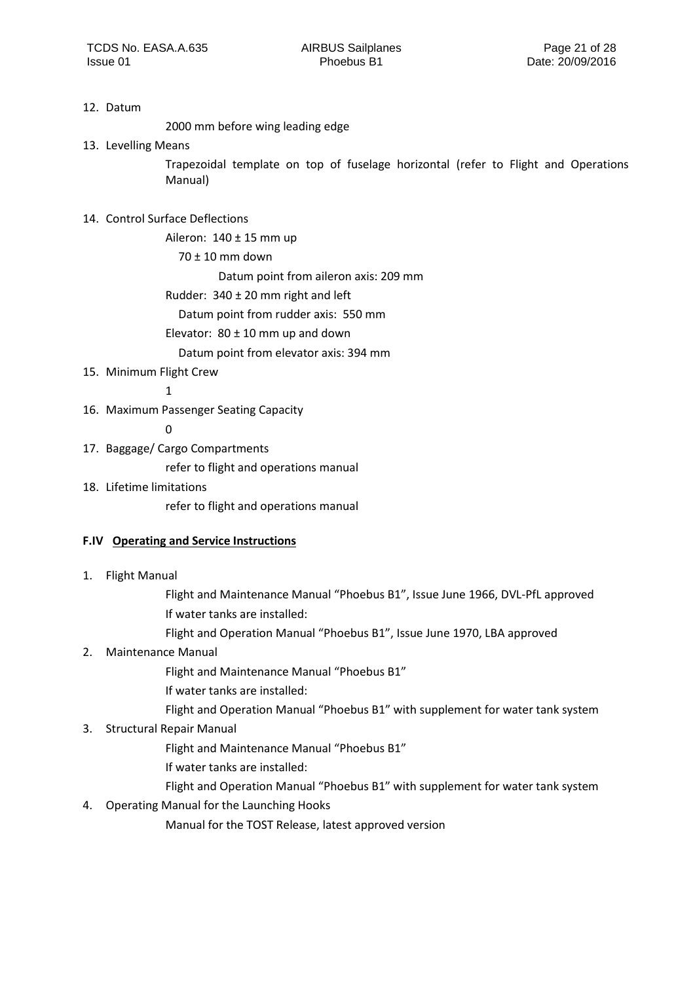#### 12. Datum

2000 mm before wing leading edge

13. Levelling Means

Trapezoidal template on top of fuselage horizontal (refer to Flight and Operations Manual)

## 14. Control Surface Deflections

Aileron:  $140 \pm 15$  mm up

70 ± 10 mm down

Datum point from aileron axis: 209 mm

Rudder: 340 ± 20 mm right and left

Datum point from rudder axis: 550 mm

Elevator:  $80 \pm 10$  mm up and down

Datum point from elevator axis: 394 mm

## 15. Minimum Flight Crew

1

16. Maximum Passenger Seating Capacity

0

17. Baggage/ Cargo Compartments

refer to flight and operations manual

18. Lifetime limitations

refer to flight and operations manual

## <span id="page-20-0"></span>**F.IV Operating and Service Instructions**

1. Flight Manual

Flight and Maintenance Manual "Phoebus B1", Issue June 1966, DVL-PfL approved If water tanks are installed:

Flight and Operation Manual "Phoebus B1", Issue June 1970, LBA approved

## 2. Maintenance Manual

Flight and Maintenance Manual "Phoebus B1"

- If water tanks are installed:
- Flight and Operation Manual "Phoebus B1" with supplement for water tank system

## 3. Structural Repair Manual

- Flight and Maintenance Manual "Phoebus B1"
- If water tanks are installed:
- Flight and Operation Manual "Phoebus B1" with supplement for water tank system
- 4. Operating Manual for the Launching Hooks

Manual for the TOST Release, latest approved version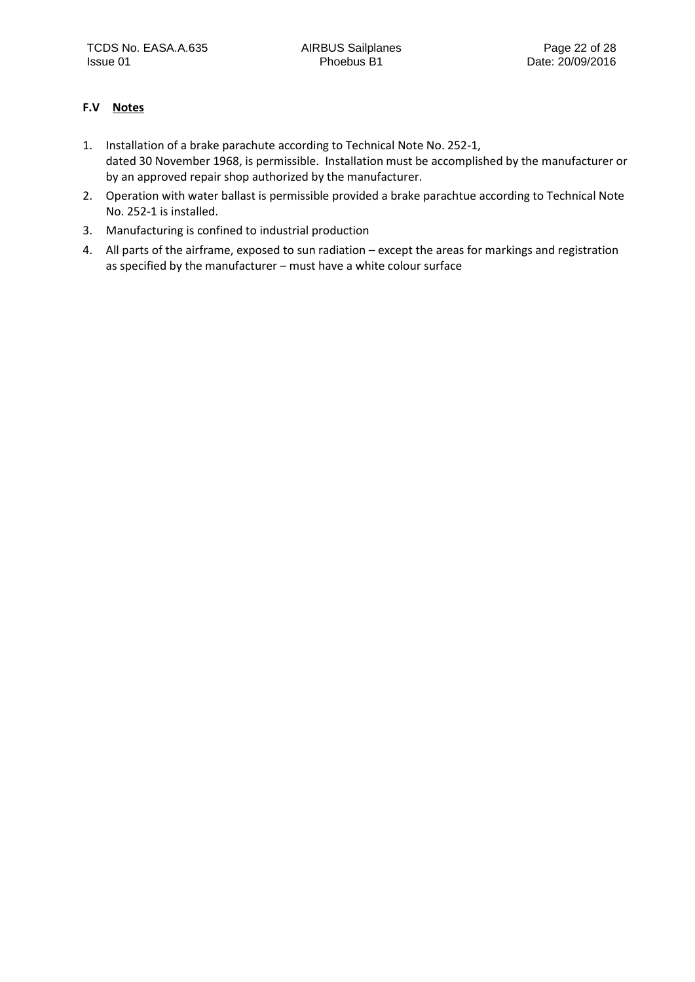## <span id="page-21-0"></span>**F.V Notes**

- 1. Installation of a brake parachute according to Technical Note No. 252-1, dated 30 November 1968, is permissible. Installation must be accomplished by the manufacturer or by an approved repair shop authorized by the manufacturer.
- 2. Operation with water ballast is permissible provided a brake parachtue according to Technical Note No. 252-1 is installed.
- 3. Manufacturing is confined to industrial production
- 4. All parts of the airframe, exposed to sun radiation except the areas for markings and registration as specified by the manufacturer – must have a white colour surface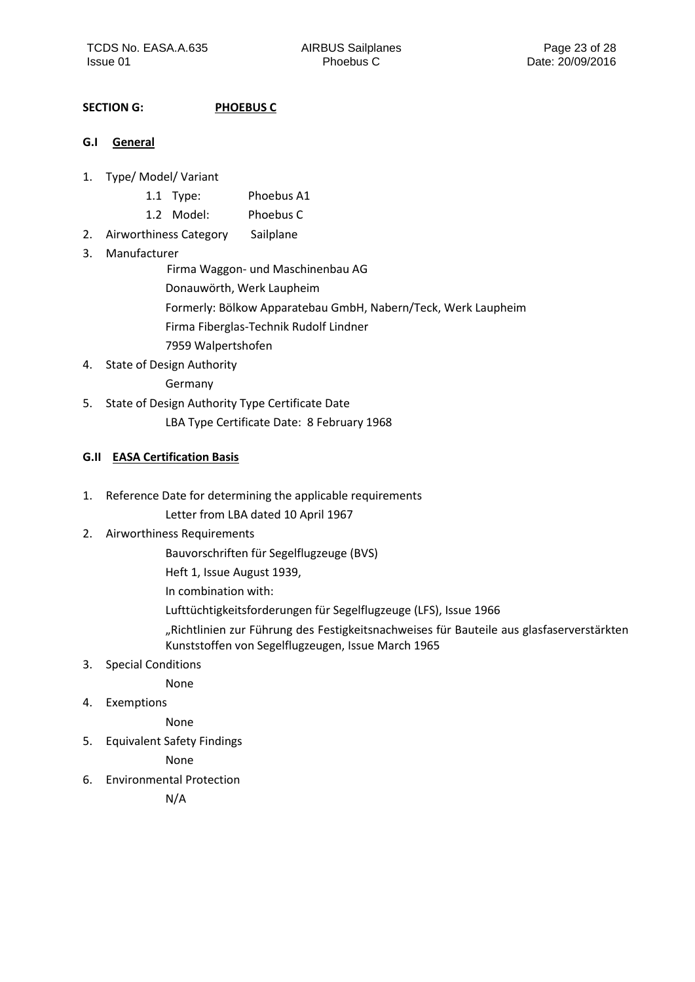## <span id="page-22-0"></span>**SECTION G: PHOEBUS C**

#### <span id="page-22-1"></span>**G.I General**

- 1. Type/ Model/ Variant
	- 1.1 Type: Phoebus A1
	- 1.2 Model: Phoebus C
- 2. Airworthiness Category Sailplane

#### 3. Manufacturer

Firma Waggon- und Maschinenbau AG

- Donauwörth, Werk Laupheim
- Formerly: Bölkow Apparatebau GmbH, Nabern/Teck, Werk Laupheim
- Firma Fiberglas-Technik Rudolf Lindner
- 7959 Walpertshofen
- 4. State of Design Authority

Germany

5. State of Design Authority Type Certificate Date LBA Type Certificate Date: 8 February 1968

## <span id="page-22-2"></span>**G.II EASA Certification Basis**

1. Reference Date for determining the applicable requirements

Letter from LBA dated 10 April 1967

- 2. Airworthiness Requirements
	- Bauvorschriften für Segelflugzeuge (BVS)

Heft 1, Issue August 1939,

In combination with:

Lufttüchtigkeitsforderungen für Segelflugzeuge (LFS), Issue 1966

"Richtlinien zur Führung des Festigkeitsnachweises für Bauteile aus glasfaserverstärkten Kunststoffen von Segelflugzeugen, Issue March 1965

3. Special Conditions

None

4. Exemptions

None

5. Equivalent Safety Findings

None

6. Environmental Protection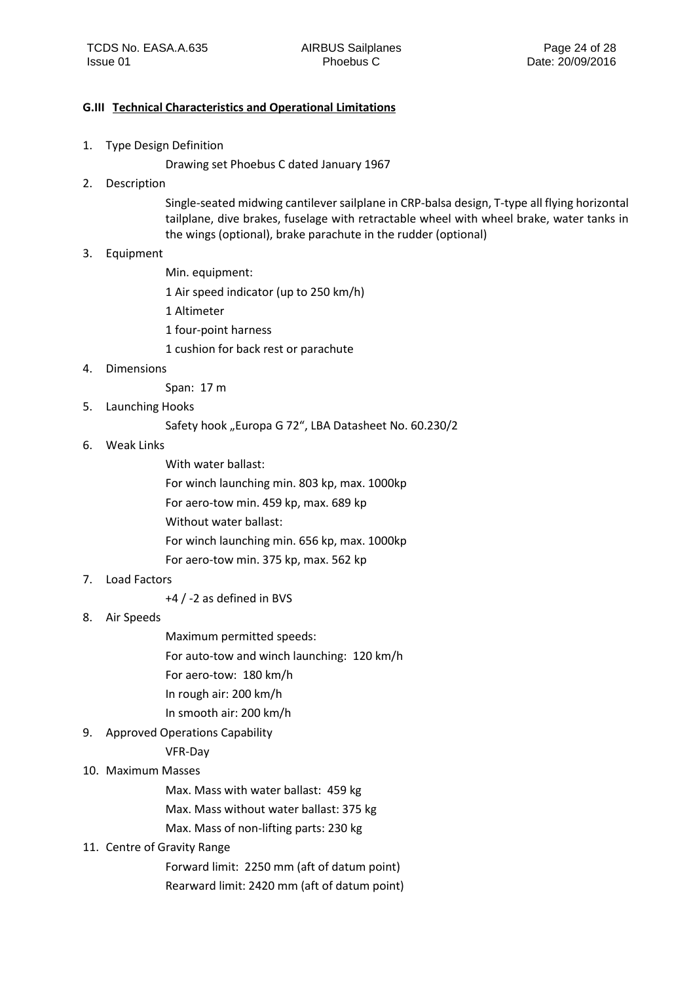#### <span id="page-23-0"></span>**G.III Technical Characteristics and Operational Limitations**

1. Type Design Definition

Drawing set Phoebus C dated January 1967

2. Description

Single-seated midwing cantilever sailplane in CRP-balsa design, T-type all flying horizontal tailplane, dive brakes, fuselage with retractable wheel with wheel brake, water tanks in the wings (optional), brake parachute in the rudder (optional)

- 3. Equipment
	- Min. equipment:
	- 1 Air speed indicator (up to 250 km/h)
	- 1 Altimeter
	- 1 four-point harness
	- 1 cushion for back rest or parachute
- 4. Dimensions
	- Span: 17 m
- 5. Launching Hooks

Safety hook "Europa G 72", LBA Datasheet No. 60.230/2

- 6. Weak Links
	- With water ballast:
	- For winch launching min. 803 kp, max. 1000kp
	- For aero-tow min. 459 kp, max. 689 kp
	- Without water ballast:
	- For winch launching min. 656 kp, max. 1000kp
	- For aero-tow min. 375 kp, max. 562 kp
- 7. Load Factors
	- +4 / -2 as defined in BVS
- 8. Air Speeds
- Maximum permitted speeds:
- For auto-tow and winch launching: 120 km/h
- For aero-tow: 180 km/h
- In rough air: 200 km/h
- In smooth air: 200 km/h
- 9. Approved Operations Capability
	- VFR-Day
- 10. Maximum Masses
	- Max. Mass with water ballast: 459 kg
	- Max. Mass without water ballast: 375 kg
	- Max. Mass of non-lifting parts: 230 kg
- 11. Centre of Gravity Range
	- Forward limit: 2250 mm (aft of datum point) Rearward limit: 2420 mm (aft of datum point)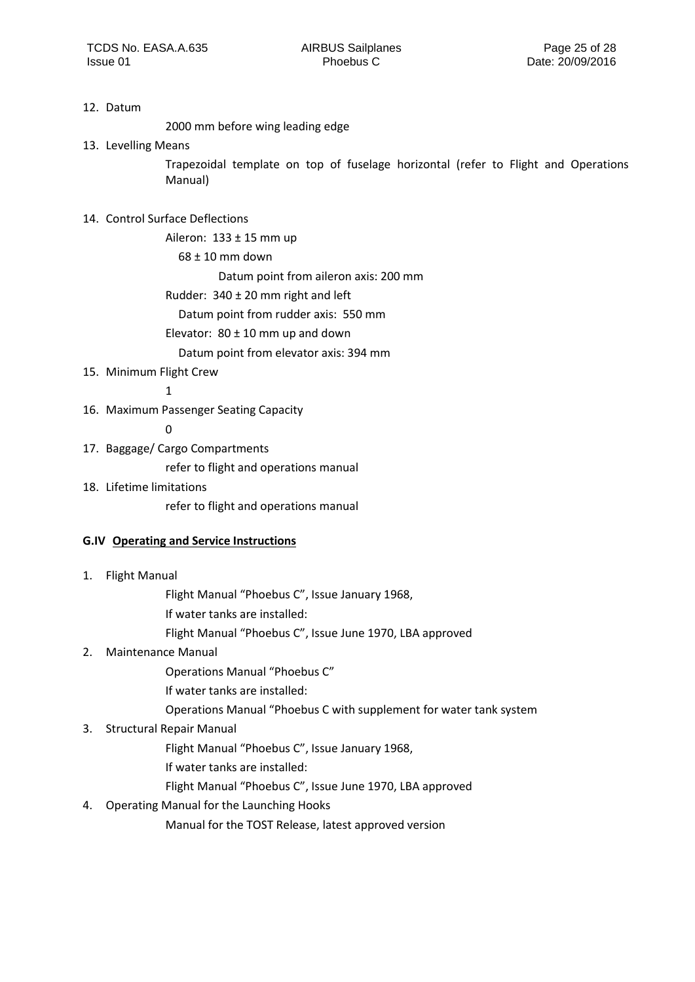#### 12. Datum

2000 mm before wing leading edge

13. Levelling Means

Trapezoidal template on top of fuselage horizontal (refer to Flight and Operations Manual)

## 14. Control Surface Deflections

Aileron:  $133 \pm 15$  mm up

68 ± 10 mm down

Datum point from aileron axis: 200 mm

Rudder: 340 ± 20 mm right and left

Datum point from rudder axis: 550 mm

Elevator:  $80 \pm 10$  mm up and down

Datum point from elevator axis: 394 mm

## 15. Minimum Flight Crew

1

16. Maximum Passenger Seating Capacity

0

17. Baggage/ Cargo Compartments

refer to flight and operations manual

18. Lifetime limitations

refer to flight and operations manual

#### <span id="page-24-0"></span>**G.IV Operating and Service Instructions**

1. Flight Manual

Flight Manual "Phoebus C", Issue January 1968,

- If water tanks are installed:
- Flight Manual "Phoebus C", Issue June 1970, LBA approved

## 2. Maintenance Manual

Operations Manual "Phoebus C"

- If water tanks are installed:
- Operations Manual "Phoebus C with supplement for water tank system

## 3. Structural Repair Manual

- Flight Manual "Phoebus C", Issue January 1968,
- If water tanks are installed:
- Flight Manual "Phoebus C", Issue June 1970, LBA approved
- 4. Operating Manual for the Launching Hooks

Manual for the TOST Release, latest approved version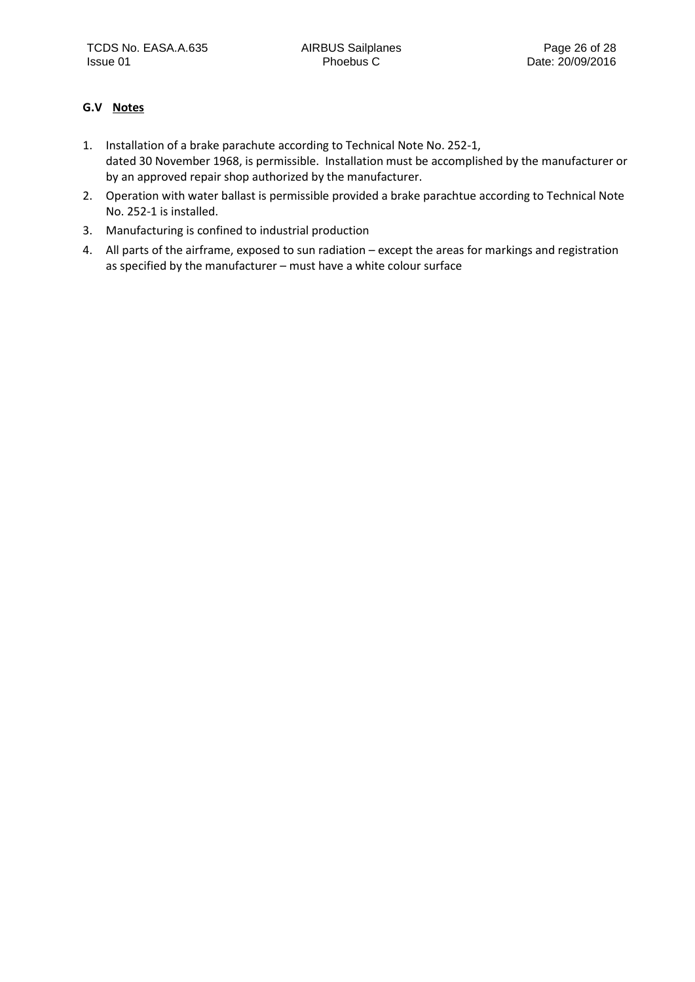## <span id="page-25-0"></span>**G.V Notes**

- 1. Installation of a brake parachute according to Technical Note No. 252-1, dated 30 November 1968, is permissible. Installation must be accomplished by the manufacturer or by an approved repair shop authorized by the manufacturer.
- 2. Operation with water ballast is permissible provided a brake parachtue according to Technical Note No. 252-1 is installed.
- 3. Manufacturing is confined to industrial production
- 4. All parts of the airframe, exposed to sun radiation except the areas for markings and registration as specified by the manufacturer – must have a white colour surface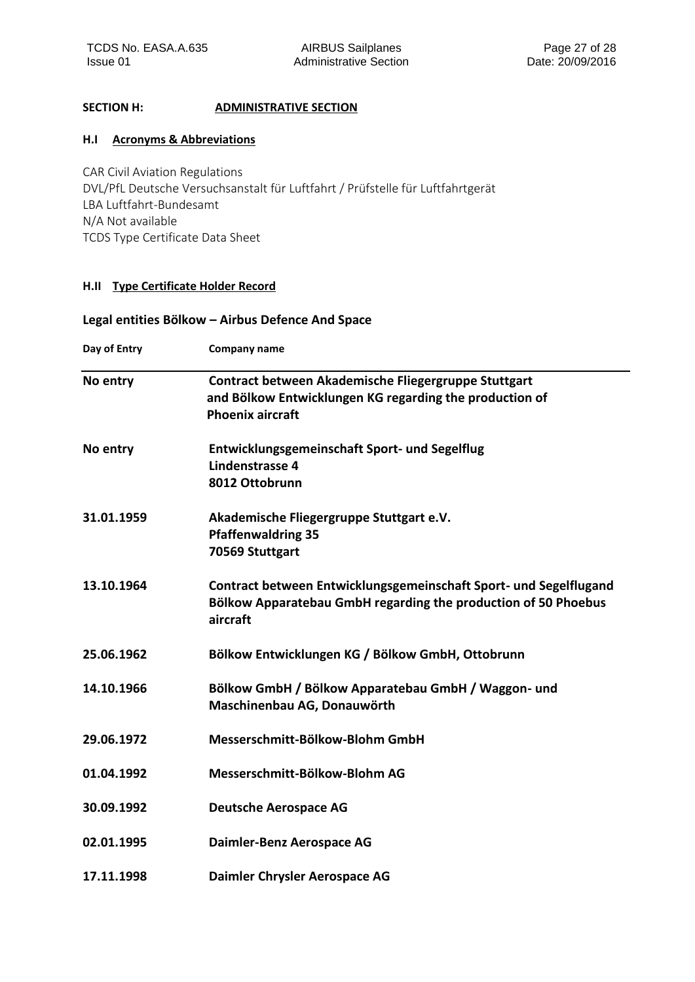## <span id="page-26-0"></span>**SECTION H: ADMINISTRATIVE SECTION**

#### <span id="page-26-1"></span>**H.I Acronyms & Abbreviations**

CAR Civil Aviation Regulations DVL/PfL Deutsche Versuchsanstalt für Luftfahrt / Prüfstelle für Luftfahrtgerät LBA Luftfahrt-Bundesamt N/A Not available TCDS Type Certificate Data Sheet

#### <span id="page-26-2"></span>**H.II Type Certificate Holder Record**

## **Legal entities Bölkow – Airbus Defence And Space**

| Day of Entry | Company name                                                                                                                                    |  |  |  |
|--------------|-------------------------------------------------------------------------------------------------------------------------------------------------|--|--|--|
| No entry     | Contract between Akademische Fliegergruppe Stuttgart<br>and Bölkow Entwicklungen KG regarding the production of<br><b>Phoenix aircraft</b>      |  |  |  |
| No entry     | <b>Entwicklungsgemeinschaft Sport- und Segelflug</b><br><b>Lindenstrasse 4</b><br>8012 Ottobrunn                                                |  |  |  |
| 31.01.1959   | Akademische Fliegergruppe Stuttgart e.V.<br><b>Pfaffenwaldring 35</b><br>70569 Stuttgart                                                        |  |  |  |
| 13.10.1964   | Contract between Entwicklungsgemeinschaft Sport- und Segelflugand<br>Bölkow Apparatebau GmbH regarding the production of 50 Phoebus<br>aircraft |  |  |  |
| 25.06.1962   | Bölkow Entwicklungen KG / Bölkow GmbH, Ottobrunn                                                                                                |  |  |  |
| 14.10.1966   | Bölkow GmbH / Bölkow Apparatebau GmbH / Waggon- und<br>Maschinenbau AG, Donauwörth                                                              |  |  |  |
| 29.06.1972   | Messerschmitt-Bölkow-Blohm GmbH                                                                                                                 |  |  |  |
| 01.04.1992   | Messerschmitt-Bölkow-Blohm AG                                                                                                                   |  |  |  |
| 30.09.1992   | <b>Deutsche Aerospace AG</b>                                                                                                                    |  |  |  |
| 02.01.1995   | Daimler-Benz Aerospace AG                                                                                                                       |  |  |  |
| 17.11.1998   | Daimler Chrysler Aerospace AG                                                                                                                   |  |  |  |